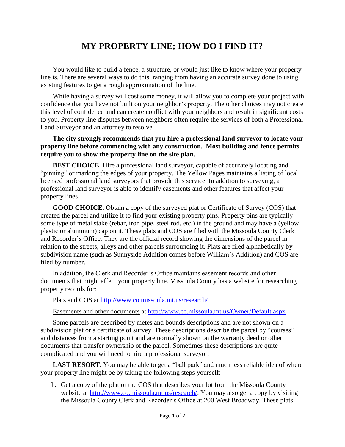## **MY PROPERTY LINE; HOW DO I FIND IT?**

You would like to build a fence, a structure, or would just like to know where your property line is. There are several ways to do this, ranging from having an accurate survey done to using existing features to get a rough approximation of the line.

While having a survey will cost some money, it will allow you to complete your project with confidence that you have not built on your neighbor's property. The other choices may not create this level of confidence and can create conflict with your neighbors and result in significant costs to you. Property line disputes between neighbors often require the services of both a Professional Land Surveyor and an attorney to resolve.

## **The city strongly recommends that you hire a professional land surveyor to locate your property line before commencing with any construction. Most building and fence permits require you to show the property line on the site plan.**

**BEST CHOICE.** Hire a professional land surveyor, capable of accurately locating and "pinning" or marking the edges of your property. The Yellow Pages maintains a listing of local licensed professional land surveyors that provide this service. In addition to surveying, a professional land surveyor is able to identify easements and other features that affect your property lines.

**GOOD CHOICE.** Obtain a copy of the surveyed plat or Certificate of Survey (COS) that created the parcel and utilize it to find your existing property pins. Property pins are typically some type of metal stake (rebar, iron pipe, steel rod, etc.) in the ground and may have a (yellow plastic or aluminum) cap on it. These plats and COS are filed with the Missoula County Clerk and Recorder's Office. They are the official record showing the dimensions of the parcel in relation to the streets, alleys and other parcels surrounding it. Plats are filed alphabetically by subdivision name (such as Sunnyside Addition comes before William's Addition) and COS are filed by number.

In addition, the Clerk and Recorder's Office maintains easement records and other documents that might affect your property line. Missoula County has a website for researching property records for:

Plats and COS at<http://www.co.missoula.mt.us/research/>

Easements and other documents at<http://www.co.missoula.mt.us/Owner/Default.aspx>

Some parcels are described by metes and bounds descriptions and are not shown on a subdivision plat or a certificate of survey. These descriptions describe the parcel by "courses" and distances from a starting point and are normally shown on the warranty deed or other documents that transfer ownership of the parcel. Sometimes these descriptions are quite complicated and you will need to hire a professional surveyor.

**LAST RESORT.** You may be able to get a "ball park" and much less reliable idea of where your property line might be by taking the following steps yourself:

1. Get a copy of the plat or the COS that describes your lot from the Missoula County website at [http://www.co.missoula.mt.us/research/.](http://www.co.missoula.mt.us/research/) You may also get a copy by visiting the Missoula County Clerk and Recorder's Office at 200 West Broadway. These plats